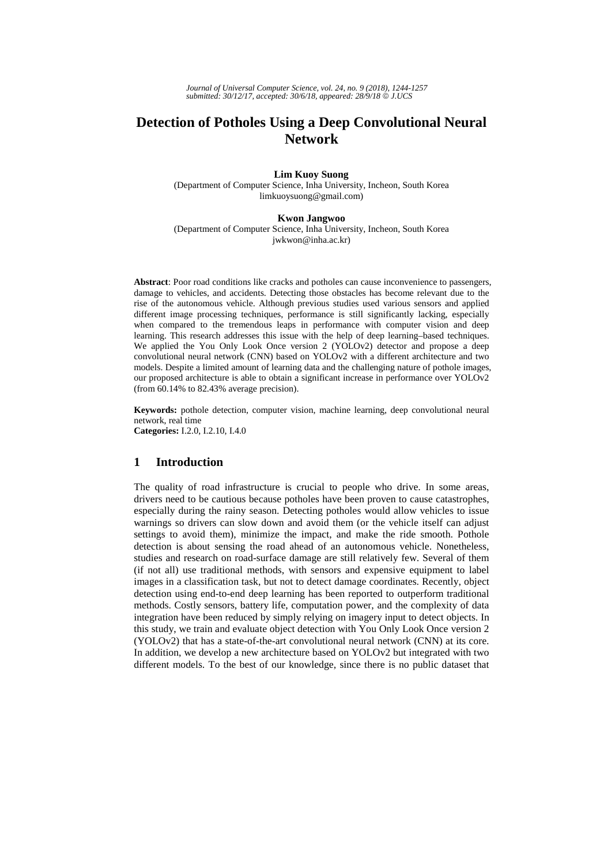*Journal of Universal Computer Science, vol. 24, no. 9 (2018), 1244-1257 submitted: 30/12/17, accepted: 30/6/18, appeared: 28/9/18* © *J.UCS*

# **Detection of Potholes Using a Deep Convolutional Neural Network**

**Lim Kuoy Suong** 

(Department of Computer Science, Inha University, Incheon, South Korea limkuoysuong@gmail.com)

#### **Kwon Jangwoo**

(Department of Computer Science, Inha University, Incheon, South Korea jwkwon@inha.ac.kr)

**Abstract**: Poor road conditions like cracks and potholes can cause inconvenience to passengers, damage to vehicles, and accidents. Detecting those obstacles has become relevant due to the rise of the autonomous vehicle. Although previous studies used various sensors and applied different image processing techniques, performance is still significantly lacking, especially when compared to the tremendous leaps in performance with computer vision and deep learning. This research addresses this issue with the help of deep learning–based techniques. We applied the You Only Look Once version 2 (YOLOv2) detector and propose a deep convolutional neural network (CNN) based on YOLOv2 with a different architecture and two models. Despite a limited amount of learning data and the challenging nature of pothole images, our proposed architecture is able to obtain a significant increase in performance over YOLOv2 (from 60.14% to 82.43% average precision).

**Keywords:** pothole detection, computer vision, machine learning, deep convolutional neural network, real time

**Categories:** I.2.0, I.2.10, I.4.0

# **1 Introduction**

The quality of road infrastructure is crucial to people who drive. In some areas, drivers need to be cautious because potholes have been proven to cause catastrophes, especially during the rainy season. Detecting potholes would allow vehicles to issue warnings so drivers can slow down and avoid them (or the vehicle itself can adjust settings to avoid them), minimize the impact, and make the ride smooth. Pothole detection is about sensing the road ahead of an autonomous vehicle. Nonetheless, studies and research on road-surface damage are still relatively few. Several of them (if not all) use traditional methods, with sensors and expensive equipment to label images in a classification task, but not to detect damage coordinates. Recently, object detection using end-to-end deep learning has been reported to outperform traditional methods. Costly sensors, battery life, computation power, and the complexity of data integration have been reduced by simply relying on imagery input to detect objects. In this study, we train and evaluate object detection with You Only Look Once version 2 (YOLOv2) that has a state-of-the-art convolutional neural network (CNN) at its core. In addition, we develop a new architecture based on YOLOv2 but integrated with two different models. To the best of our knowledge, since there is no public dataset that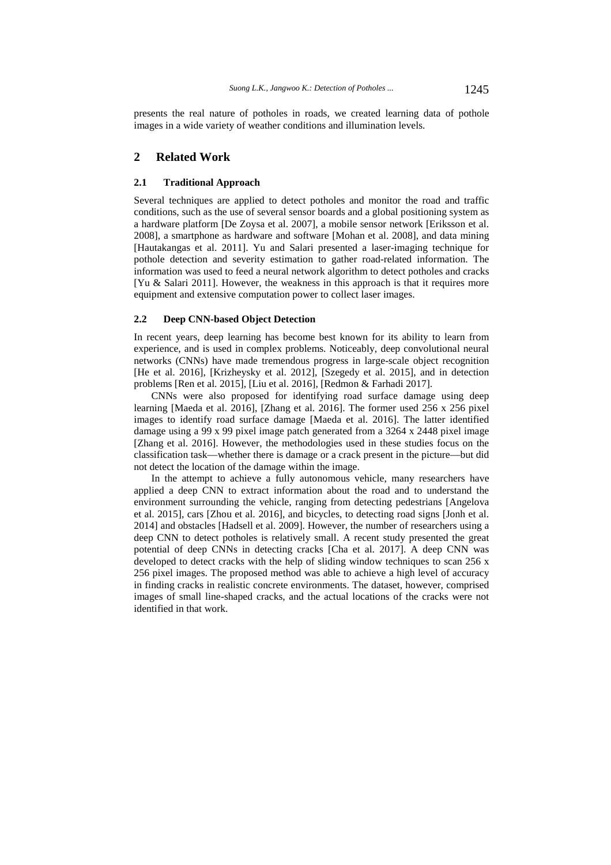presents the real nature of potholes in roads, we created learning data of pothole images in a wide variety of weather conditions and illumination levels.

# **2 Related Work**

#### **2.1 Traditional Approach**

Several techniques are applied to detect potholes and monitor the road and traffic conditions, such as the use of several sensor boards and a global positioning system as a hardware platform [De Zoysa et al. 2007], a mobile sensor network [Eriksson et al. 2008], a smartphone as hardware and software [Mohan et al. 2008], and data mining [Hautakangas et al. 2011]. Yu and Salari presented a laser-imaging technique for pothole detection and severity estimation to gather road-related information. The information was used to feed a neural network algorithm to detect potholes and cracks [Yu & Salari 2011]. However, the weakness in this approach is that it requires more equipment and extensive computation power to collect laser images.

### **2.2 Deep CNN-based Object Detection**

In recent years, deep learning has become best known for its ability to learn from experience, and is used in complex problems. Noticeably, deep convolutional neural networks (CNNs) have made tremendous progress in large-scale object recognition [He et al. 2016], [Krizheysky et al. 2012], [Szegedy et al. 2015], and in detection problems [Ren et al. 2015], [Liu et al. 2016], [Redmon & Farhadi 2017].

CNNs were also proposed for identifying road surface damage using deep learning [Maeda et al. 2016], [Zhang et al. 2016]. The former used 256 x 256 pixel images to identify road surface damage [Maeda et al. 2016]. The latter identified damage using a 99 x 99 pixel image patch generated from a 3264 x 2448 pixel image [Zhang et al. 2016]. However, the methodologies used in these studies focus on the classification task—whether there is damage or a crack present in the picture—but did not detect the location of the damage within the image.

In the attempt to achieve a fully autonomous vehicle, many researchers have applied a deep CNN to extract information about the road and to understand the environment surrounding the vehicle, ranging from detecting pedestrians [Angelova et al. 2015], cars [Zhou et al. 2016], and bicycles, to detecting road signs [Jonh et al. 2014] and obstacles [Hadsell et al. 2009]. However, the number of researchers using a deep CNN to detect potholes is relatively small. A recent study presented the great potential of deep CNNs in detecting cracks [Cha et al. 2017]. A deep CNN was developed to detect cracks with the help of sliding window techniques to scan 256 x 256 pixel images. The proposed method was able to achieve a high level of accuracy in finding cracks in realistic concrete environments. The dataset, however, comprised images of small line-shaped cracks, and the actual locations of the cracks were not identified in that work.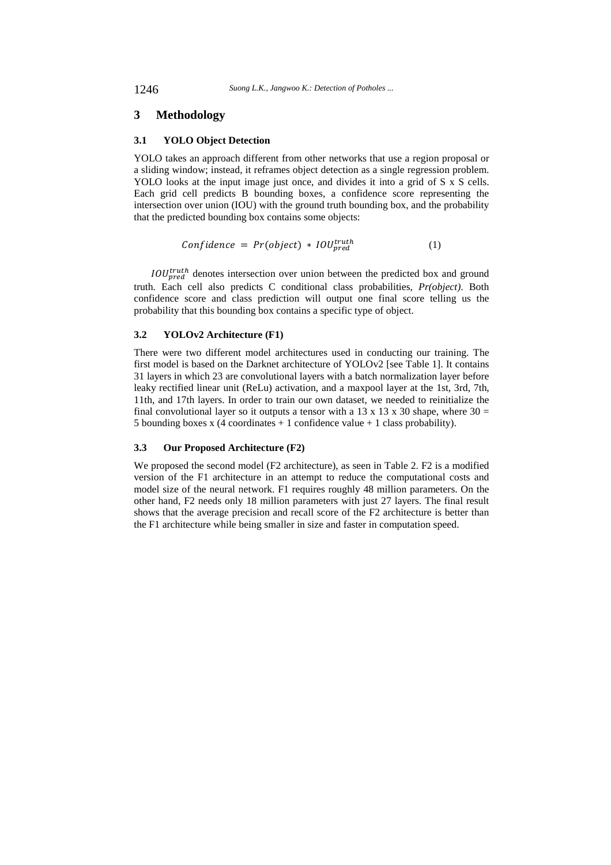## **3 Methodology**

## **3.1 YOLO Object Detection**

YOLO takes an approach different from other networks that use a region proposal or a sliding window; instead, it reframes object detection as a single regression problem. YOLO looks at the input image just once, and divides it into a grid of S x S cells. Each grid cell predicts B bounding boxes, a confidence score representing the intersection over union (IOU) with the ground truth bounding box, and the probability that the predicted bounding box contains some objects:

$$
Confidence = Pr(object) * IOU_{pred}^{truth}
$$
 (1)

 $IOU_{pred}^{truth}$  denotes intersection over union between the predicted box and ground truth. Each cell also predicts C conditional class probabilities, *Pr(object)*. Both confidence score and class prediction will output one final score telling us the probability that this bounding box contains a specific type of object.

#### **3.2 YOLOv2 Architecture (F1)**

There were two different model architectures used in conducting our training. The first model is based on the Darknet architecture of YOLOv2 [see Table 1]. It contains 31 layers in which 23 are convolutional layers with a batch normalization layer before leaky rectified linear unit (ReLu) activation, and a maxpool layer at the 1st, 3rd, 7th, 11th, and 17th layers. In order to train our own dataset, we needed to reinitialize the final convolutional layer so it outputs a tensor with a 13 x 13 x 30 shape, where  $30 =$ 5 bounding boxes x (4 coordinates  $+1$  confidence value  $+1$  class probability).

## **3.3 Our Proposed Architecture (F2)**

We proposed the second model (F2 architecture), as seen in Table 2. F2 is a modified version of the F1 architecture in an attempt to reduce the computational costs and model size of the neural network. F1 requires roughly 48 million parameters. On the other hand, F2 needs only 18 million parameters with just 27 layers. The final result shows that the average precision and recall score of the F2 architecture is better than the F1 architecture while being smaller in size and faster in computation speed.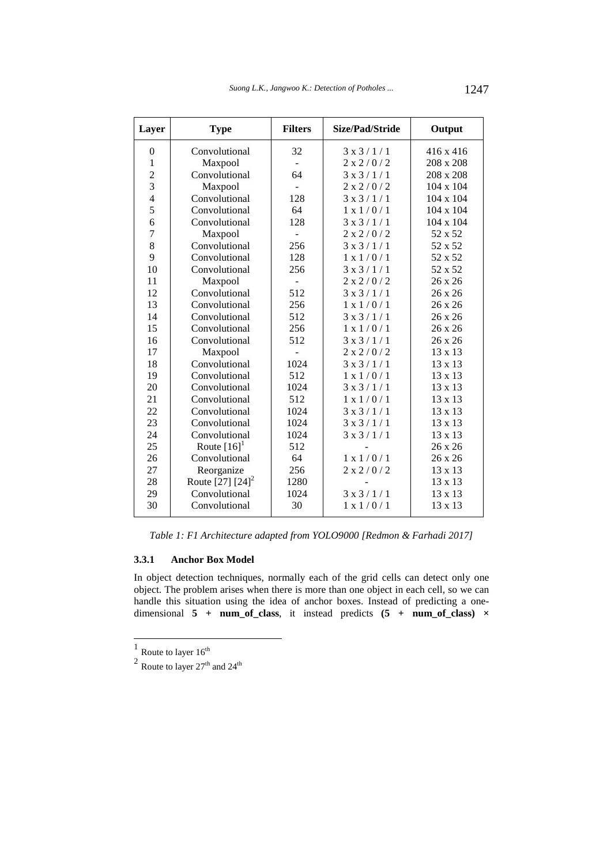| Layer          | <b>Type</b>               | <b>Filters</b>           | Size/Pad/Stride      | Output         |
|----------------|---------------------------|--------------------------|----------------------|----------------|
| $\theta$       | Convolutional             | 32                       | 3x3/1/1              | 416 x 416      |
| 1              | Maxpool                   |                          | 2 x 2 / 0 / 2        | 208 x 208      |
| $\overline{c}$ | Convolutional             | 64                       | 3x3/1/1              | 208 x 208      |
| 3              | Maxpool                   |                          | 2 x 2 / 0 / 2        | 104 x 104      |
| $\overline{4}$ | Convolutional             | 128                      | $3 \times 3 / 1 / 1$ | 104 x 104      |
| 5              | Convolutional             | 64                       | 1 x 1 / 0 / 1        | 104 x 104      |
| 6              | Convolutional             | 128                      | $3 \times 3 / 1 / 1$ | 104 x 104      |
| 7              | Maxpool                   |                          | 2 x 2 / 0 / 2        | 52 x 52        |
| 8              | Convolutional             | 256                      | $3 \times 3 / 1 / 1$ | 52 x 52        |
| 9              | Convolutional             | 128                      | $1 \times 1/0/1$     | 52 x 52        |
| 10             | Convolutional             | 256                      | 3x3/1/1              | 52 x 52        |
| 11             | Maxpool                   | $\overline{\phantom{a}}$ | 2 x 2 / 0 / 2        | 26 x 26        |
| 12             | Convolutional             | 512                      | 3x3/1/1              | 26 x 26        |
| 13             | Convolutional             | 256                      | $1 \times 1/0/1$     | $26 \times 26$ |
| 14             | Convolutional             | 512                      | $3 \times 3 / 1 / 1$ | 26 x 26        |
| 15             | Convolutional             | 256                      | 1 x 1 / 0 / 1        | 26 x 26        |
| 16             | Convolutional             | 512                      | 3x3/1/1              | 26 x 26        |
| 17             | Maxpool                   |                          | 2 x 2 / 0 / 2        | 13 x 13        |
| 18             | Convolutional             | 1024                     | 3x3/1/1              | 13 x 13        |
| 19             | Convolutional             | 512                      | $1 \times 1/0/1$     | 13 x 13        |
| 20             | Convolutional             | 1024                     | 3x3/1/1              | 13 x 13        |
| 21             | Convolutional             | 512                      | $1 \times 1/0/1$     | 13 x 13        |
| 22             | Convolutional             | 1024                     | 3x3/1/1              | 13 x 13        |
| 23             | Convolutional             | 1024                     | 3x3/1/1              | 13 x 13        |
| 24             | Convolutional             | 1024                     | 3x3/1/1              | 13 x 13        |
| 25             | Route $[16]$ <sup>1</sup> | 512                      |                      | 26 x 26        |
| 26             | Convolutional             | 64                       | $1 \times 1/0/1$     | 26 x 26        |
| 27             | Reorganize                | 256                      | 2 x 2 / 0 / 2        | 13 x 13        |
| 28             | Route $[27] [24]^{2}$     | 1280                     |                      | 13 x 13        |
| 29             | Convolutional             | 1024                     | 3x3/1/1              | 13 x 13        |
| 30             | Convolutional             | 30                       | 1 x 1 / 0 / 1        | 13 x 13        |

*Table 1: F1 Architecture adapted from YOLO9000 [Redmon & Farhadi 2017]* 

## **3.3.1 Anchor Box Model**

In object detection techniques, normally each of the grid cells can detect only one object. The problem arises when there is more than one object in each cell, so we can handle this situation using the idea of anchor boxes. Instead of predicting a onedimensional **5** + **num** of class, it instead predicts  $(5 + \text{num of class}) \times$ 

 $\overline{a}$ 

<sup>&</sup>lt;sup>1</sup> Route to layer  $16^{th}$ <br><sup>2</sup> Route to layer  $27^{th}$  and  $24^{th}$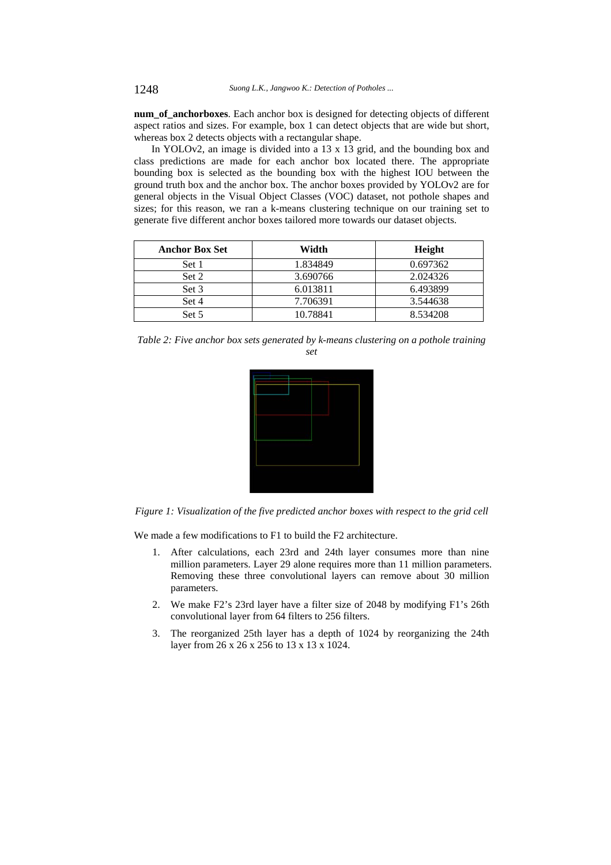**num\_of\_anchorboxes**. Each anchor box is designed for detecting objects of different aspect ratios and sizes. For example, box 1 can detect objects that are wide but short, whereas box 2 detects objects with a rectangular shape.

In YOLOv2, an image is divided into a 13 x 13 grid, and the bounding box and class predictions are made for each anchor box located there. The appropriate bounding box is selected as the bounding box with the highest IOU between the ground truth box and the anchor box. The anchor boxes provided by YOLOv2 are for general objects in the Visual Object Classes (VOC) dataset, not pothole shapes and sizes; for this reason, we ran a k-means clustering technique on our training set to generate five different anchor boxes tailored more towards our dataset objects.

| <b>Anchor Box Set</b> | Width    | Height   |
|-----------------------|----------|----------|
| Set 1                 | 1.834849 | 0.697362 |
| Set 2                 | 3.690766 | 2.024326 |
| Set 3                 | 6.013811 | 6.493899 |
| Set 4                 | 7.706391 | 3.544638 |
| Set 5                 | 10.78841 | 8.534208 |

*Table 2: Five anchor box sets generated by k-means clustering on a pothole training set* 



*Figure 1: Visualization of the five predicted anchor boxes with respect to the grid cell* 

We made a few modifications to F1 to build the F2 architecture.

- 1. After calculations, each 23rd and 24th layer consumes more than nine million parameters. Layer 29 alone requires more than 11 million parameters. Removing these three convolutional layers can remove about 30 million parameters.
- 2. We make F2's 23rd layer have a filter size of 2048 by modifying F1's 26th convolutional layer from 64 filters to 256 filters.
- 3. The reorganized 25th layer has a depth of 1024 by reorganizing the 24th layer from 26 x 26 x 256 to 13 x 13 x 1024.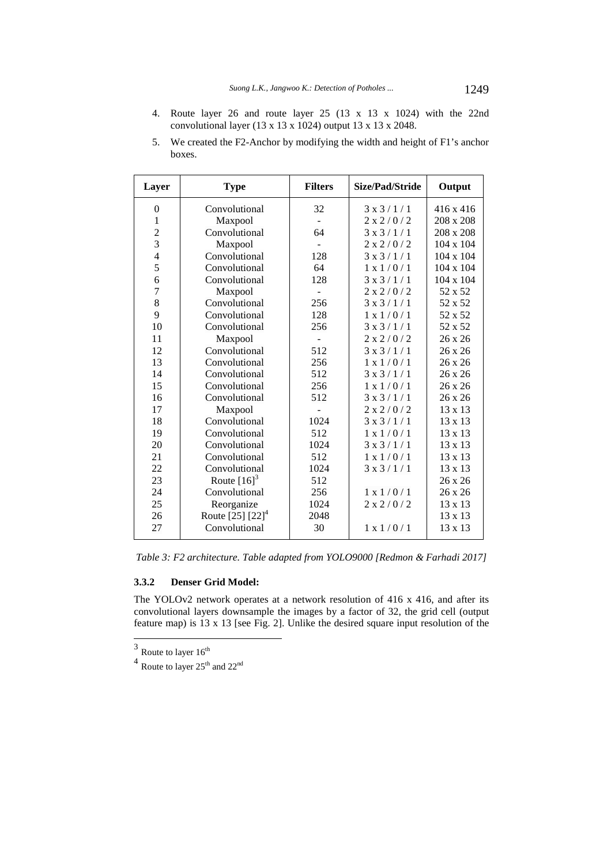4. Route layer 26 and route layer 25 (13 x 13 x 1024) with the 22nd convolutional layer  $(13 \times 13 \times 1024)$  output  $13 \times 13 \times 2048$ .

| Layer          | <b>Type</b>               | <b>Filters</b> | Size/Pad/Stride      | Output           |
|----------------|---------------------------|----------------|----------------------|------------------|
| $\Omega$       | Convolutional             | 32             | $3 \times 3 / 1 / 1$ | $416 \times 416$ |
| $\mathbf{1}$   | Maxpool                   |                | 2 x 2 / 0 / 2        | 208 x 208        |
| $\overline{c}$ | Convolutional             | 64             | $3 \times 3 / 1 / 1$ | 208 x 208        |
| 3              | Maxpool                   |                | 2 x 2 / 0 / 2        | 104 x 104        |
| $\overline{4}$ | Convolutional             | 128            | $3 \times 3 / 1 / 1$ | $104 \times 104$ |
| 5              | Convolutional             | 64             | 1 x 1 / 0 / 1        | $104 \times 104$ |
| 6              | Convolutional             | 128            | $3 \times 3 / 1 / 1$ | 104 x 104        |
| $\overline{7}$ | Maxpool                   |                | 2 x 2 / 0 / 2        | 52 x 52          |
| 8              | Convolutional             | 256            | $3 \times 3 / 1 / 1$ | 52 x 52          |
| 9              | Convolutional             | 128            | $1 \times 1/0/1$     | 52 x 52          |
| 10             | Convolutional             | 256            | $3 \times 3 / 1 / 1$ | 52 x 52          |
| 11             | Maxpool                   |                | 2 x 2 / 0 / 2        | 26 x 26          |
| 12             | Convolutional             | 512            | $3 \times 3 / 1 / 1$ | 26 x 26          |
| 13             | Convolutional             | 256            | 1 x 1 / 0 / 1        | $26 \times 26$   |
| 14             | Convolutional             | 512            | $3 \times 3 / 1 / 1$ | $26 \times 26$   |
| 15             | Convolutional             | 256            | $1 \times 1/0/1$     | 26 x 26          |
| 16             | Convolutional             | 512            | $3 \times 3 / 1 / 1$ | 26 x 26          |
| 17             | Maxpool                   |                | 2 x 2 / 0 / 2        | $13 \times 13$   |
| 18             | Convolutional             | 1024           | 3x3/1/1              | 13 x 13          |
| 19             | Convolutional             | 512            | $1 \times 1/0/1$     | $13 \times 13$   |
| 20             | Convolutional             | 1024           | $3 \times 3 / 1 / 1$ | $13 \times 13$   |
| 21             | Convolutional             | 512            | $1 \times 1/0/1$     | $13 \times 13$   |
| 22             | Convolutional             | 1024           | 3x3/1/1              | $13 \times 13$   |
| 23             | Route $[16]$ <sup>3</sup> | 512            |                      | 26 x 26          |
| 24             | Convolutional             | 256            | 1 x 1 / 0 / 1        | 26 x 26          |
| 25             | Reorganize                | 1024           | 2 x 2 / 0 / 2        | 13 x 13          |
| 26             | Route $[25] [22]^{4}$     | 2048           |                      | 13 x 13          |
| 27             | Convolutional             | 30             | 1 x 1 / 0 / 1        | $13 \times 13$   |

5. We created the F2-Anchor by modifying the width and height of F1's anchor boxes.

*Table 3: F2 architecture. Table adapted from YOLO9000 [Redmon & Farhadi 2017]* 

# **3.3.2 Denser Grid Model:**

The YOLOv2 network operates at a network resolution of 416 x 416, and after its convolutional layers downsample the images by a factor of 32, the grid cell (output feature map) is 13 x 13 [see Fig. 2]. Unlike the desired square input resolution of the

 $3$  Route to layer  $16^{\text{th}}$ 

 $\frac{4}{100}$  Route to layer  $25^{\text{th}}$  and  $22^{\text{nd}}$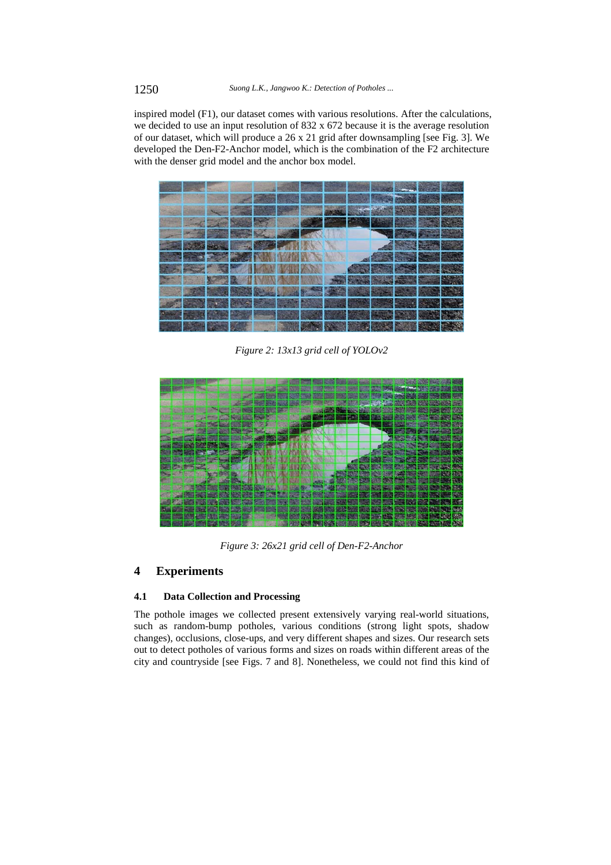inspired model (F1), our dataset comes with various resolutions. After the calculations, we decided to use an input resolution of 832 x 672 because it is the average resolution of our dataset, which will produce a 26 x 21 grid after downsampling [see Fig. 3]. We developed the Den-F2-Anchor model, which is the combination of the F2 architecture with the denser grid model and the anchor box model.



*Figure 2: 13x13 grid cell of YOLOv2* 



*Figure 3: 26x21 grid cell of Den-F2-Anchor* 

# **4 Experiments**

## **4.1 Data Collection and Processing**

The pothole images we collected present extensively varying real-world situations, such as random-bump potholes, various conditions (strong light spots, shadow changes), occlusions, close-ups, and very different shapes and sizes. Our research sets out to detect potholes of various forms and sizes on roads within different areas of the city and countryside [see Figs. 7 and 8]. Nonetheless, we could not find this kind of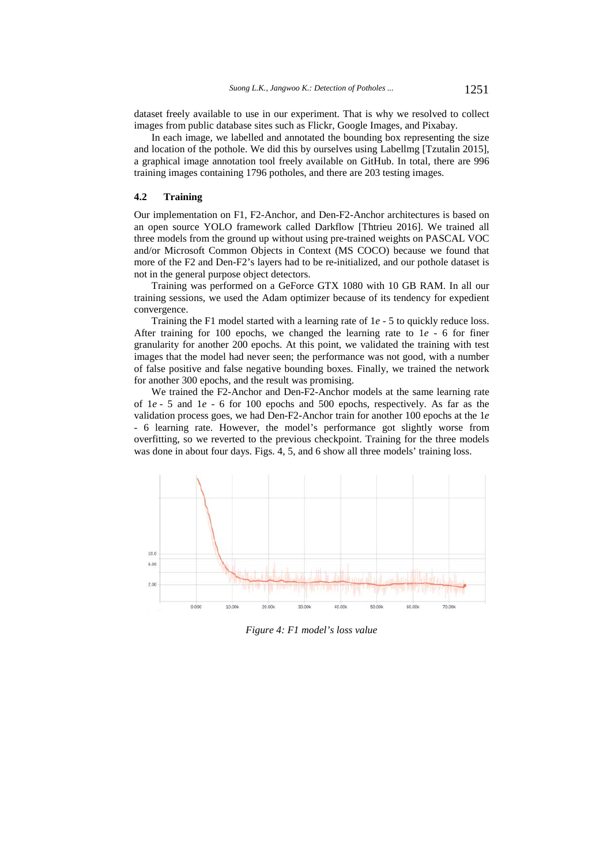dataset freely available to use in our experiment. That is why we resolved to collect images from public database sites such as Flickr, Google Images, and Pixabay.

In each image, we labelled and annotated the bounding box representing the size and location of the pothole. We did this by ourselves using Labellmg [Tzutalin 2015], a graphical image annotation tool freely available on GitHub. In total, there are 996 training images containing 1796 potholes, and there are 203 testing images.

## **4.2 Training**

Our implementation on F1, F2-Anchor, and Den-F2-Anchor architectures is based on an open source YOLO framework called Darkflow [Thtrieu 2016]. We trained all three models from the ground up without using pre-trained weights on PASCAL VOC and/or Microsoft Common Objects in Context (MS COCO) because we found that more of the F2 and Den-F2's layers had to be re-initialized, and our pothole dataset is not in the general purpose object detectors.

Training was performed on a GeForce GTX 1080 with 10 GB RAM. In all our training sessions, we used the Adam optimizer because of its tendency for expedient convergence.

Training the F1 model started with a learning rate of 1*e* - 5 to quickly reduce loss. After training for 100 epochs, we changed the learning rate to 1*e* - 6 for finer granularity for another 200 epochs. At this point, we validated the training with test images that the model had never seen; the performance was not good, with a number of false positive and false negative bounding boxes. Finally, we trained the network for another 300 epochs, and the result was promising.

We trained the F2-Anchor and Den-F2-Anchor models at the same learning rate of 1*e* - 5 and 1*e* - 6 for 100 epochs and 500 epochs, respectively. As far as the validation process goes, we had Den-F2-Anchor train for another 100 epochs at the 1*e* - 6 learning rate. However, the model's performance got slightly worse from overfitting, so we reverted to the previous checkpoint. Training for the three models was done in about four days. Figs. 4, 5, and 6 show all three models' training loss.



*Figure 4: F1 model's loss value*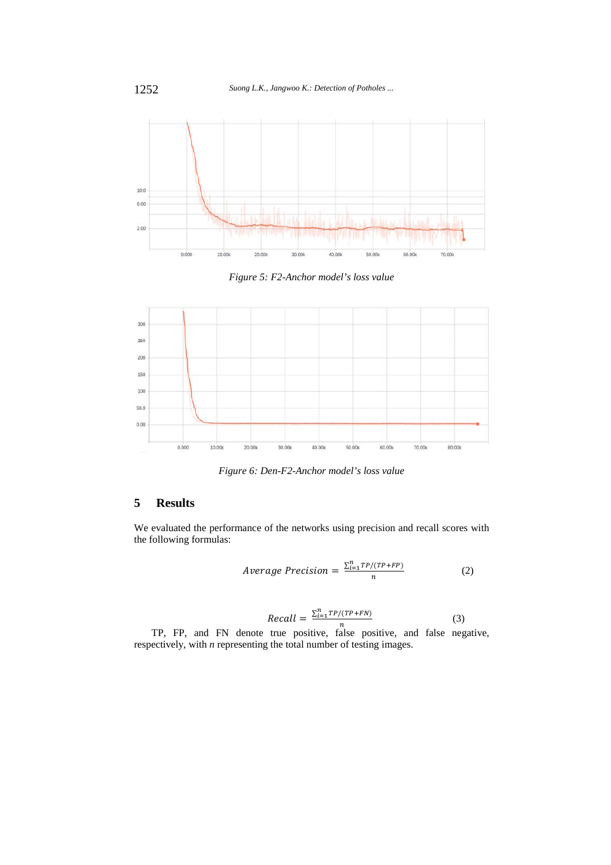

*Figure 5: F2-Anchor model's loss value* 



*Figure 6: Den-F2-Anchor model's loss value* 

# **5 Results**

We evaluated the performance of the networks using precision and recall scores with the following formulas:

$$
Average Precision = \frac{\sum_{i=1}^{n} TP/(TP+FP)}{n}
$$
 (2)

$$
Recall = \frac{\sum_{i=1}^{n} TP/(TP+FN)}{n}
$$
 (3)

TP, FP, and FN denote true positive, false positive, and false negative, respectively, with *n* representing the total number of testing images.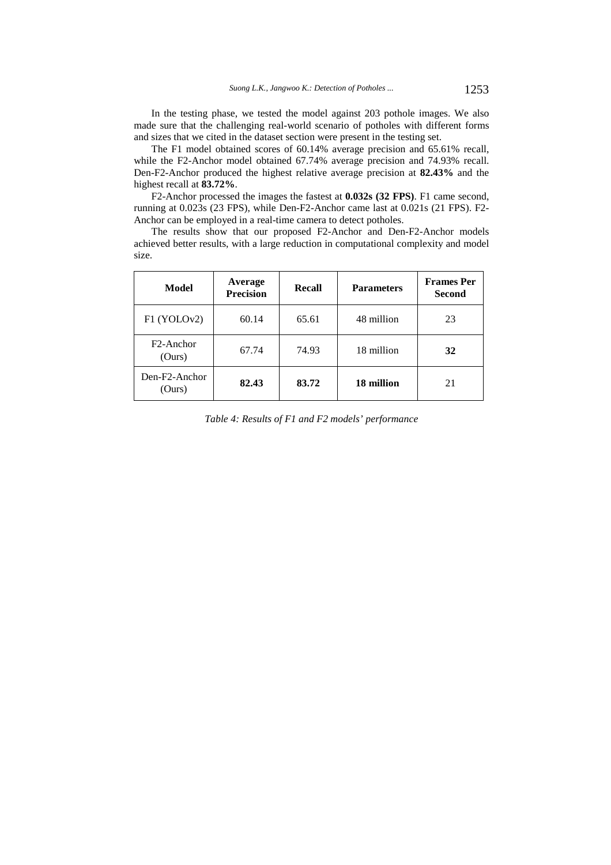In the testing phase, we tested the model against 203 pothole images. We also made sure that the challenging real-world scenario of potholes with different forms and sizes that we cited in the dataset section were present in the testing set.

The F1 model obtained scores of 60.14% average precision and 65.61% recall, while the F2-Anchor model obtained 67.74% average precision and 74.93% recall. Den-F2-Anchor produced the highest relative average precision at **82.43%** and the highest recall at **83.72%**.

F2-Anchor processed the images the fastest at **0.032s (32 FPS)**. F1 came second, running at 0.023s (23 FPS), while Den-F2-Anchor came last at 0.021s (21 FPS). F2- Anchor can be employed in a real-time camera to detect potholes.

The results show that our proposed F2-Anchor and Den-F2-Anchor models achieved better results, with a large reduction in computational complexity and model size.

| Model                            | Average<br><b>Precision</b> | Recall | <b>Parameters</b> | <b>Frames</b> Per<br><b>Second</b> |
|----------------------------------|-----------------------------|--------|-------------------|------------------------------------|
| F1 (YOLOv2)                      | 60.14                       | 65.61  | 48 million        | 23                                 |
| F <sub>2</sub> -Anchor<br>(Ours) | 67.74                       | 74.93  | 18 million        | 32                                 |
| Den-F2-Anchor<br>(Ours)          | 82.43                       | 83.72  | 18 million        | 21                                 |

*Table 4: Results of F1 and F2 models' performance*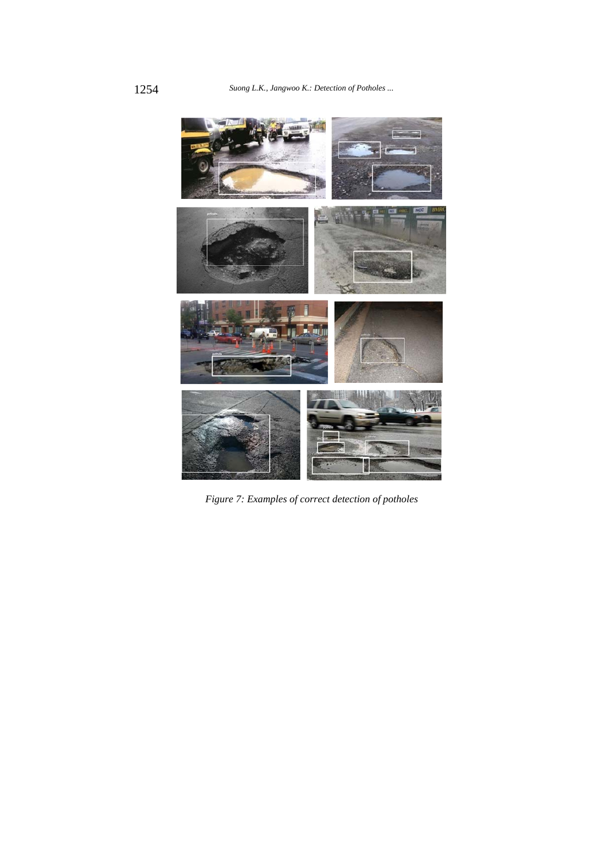

*Figure 7: Examples of correct detection of potholes*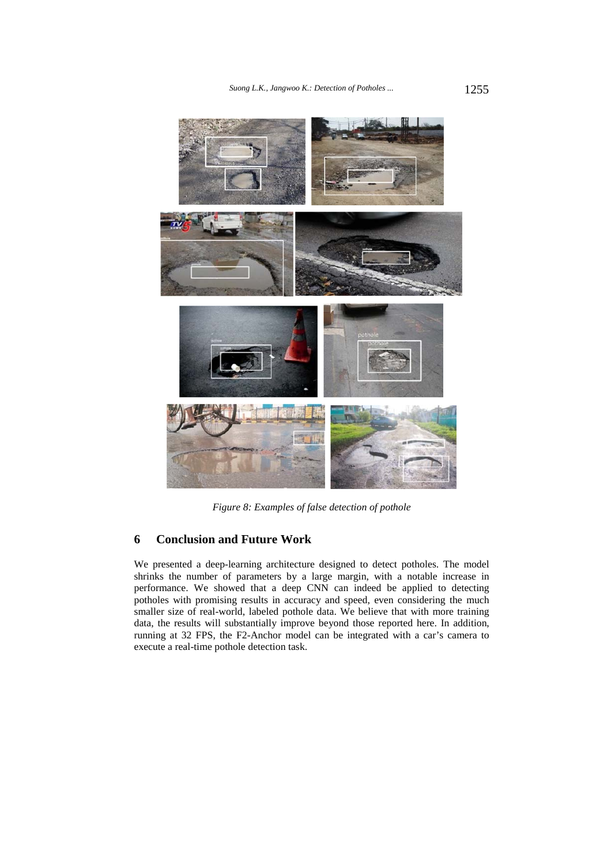

*Figure 8: Examples of false detection of pothole* 

# **6 Conclusion and Future Work**

We presented a deep-learning architecture designed to detect potholes. The model shrinks the number of parameters by a large margin, with a notable increase in performance. We showed that a deep CNN can indeed be applied to detecting potholes with promising results in accuracy and speed, even considering the much smaller size of real-world, labeled pothole data. We believe that with more training data, the results will substantially improve beyond those reported here. In addition, running at 32 FPS, the F2-Anchor model can be integrated with a car's camera to execute a real-time pothole detection task.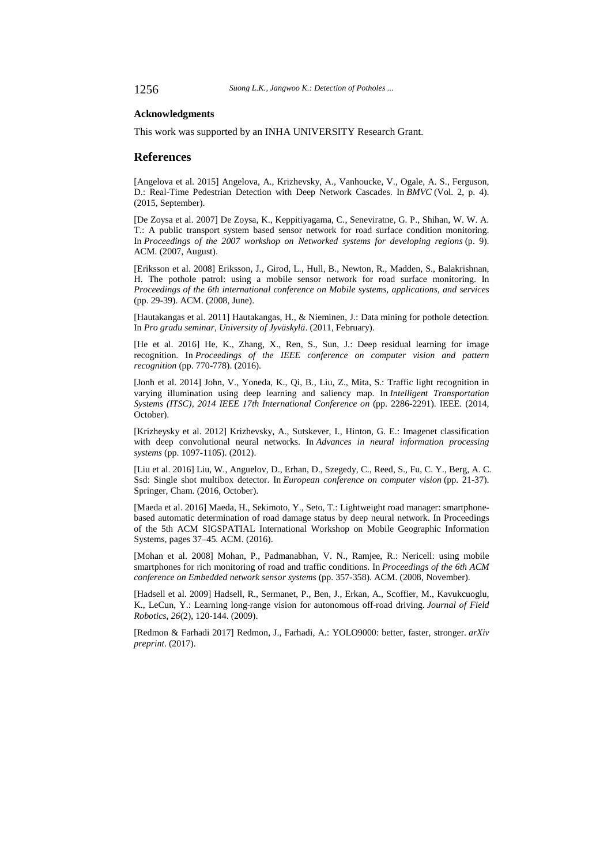#### **Acknowledgments**

This work was supported by an INHA UNIVERSITY Research Grant.

#### **References**

[Angelova et al. 2015] Angelova, A., Krizhevsky, A., Vanhoucke, V., Ogale, A. S., Ferguson, D.: Real-Time Pedestrian Detection with Deep Network Cascades. In *BMVC* (Vol. 2, p. 4). (2015, September).

[De Zoysa et al. 2007] De Zoysa, K., Keppitiyagama, C., Seneviratne, G. P., Shihan, W. W. A. T.: A public transport system based sensor network for road surface condition monitoring. In *Proceedings of the 2007 workshop on Networked systems for developing regions* (p. 9). ACM. (2007, August).

[Eriksson et al. 2008] Eriksson, J., Girod, L., Hull, B., Newton, R., Madden, S., Balakrishnan, H. The pothole patrol: using a mobile sensor network for road surface monitoring. In *Proceedings of the 6th international conference on Mobile systems, applications, and services* (pp. 29-39). ACM. (2008, June).

[Hautakangas et al. 2011] Hautakangas, H., & Nieminen, J.: Data mining for pothole detection. In *Pro gradu seminar, University of Jyväskylä*. (2011, February).

[He et al. 2016] He, K., Zhang, X., Ren, S., Sun, J.: Deep residual learning for image recognition. In *Proceedings of the IEEE conference on computer vision and pattern recognition* (pp. 770-778). (2016).

[Jonh et al. 2014] John, V., Yoneda, K., Qi, B., Liu, Z., Mita, S.: Traffic light recognition in varying illumination using deep learning and saliency map. In *Intelligent Transportation Systems (ITSC), 2014 IEEE 17th International Conference on* (pp. 2286-2291). IEEE. (2014, October).

[Krizheysky et al. 2012] Krizhevsky, A., Sutskever, I., Hinton, G. E.: Imagenet classification with deep convolutional neural networks. In *Advances in neural information processing systems* (pp. 1097-1105). (2012).

[Liu et al. 2016] Liu, W., Anguelov, D., Erhan, D., Szegedy, C., Reed, S., Fu, C. Y., Berg, A. C. Ssd: Single shot multibox detector. In *European conference on computer vision* (pp. 21-37). Springer, Cham. (2016, October).

[Maeda et al. 2016] Maeda, H., Sekimoto, Y., Seto, T.: Lightweight road manager: smartphonebased automatic determination of road damage status by deep neural network. In Proceedings of the 5th ACM SIGSPATIAL International Workshop on Mobile Geographic Information Systems, pages 37–45. ACM. (2016).

[Mohan et al. 2008] Mohan, P., Padmanabhan, V. N., Ramjee, R.: Nericell: using mobile smartphones for rich monitoring of road and traffic conditions. In *Proceedings of the 6th ACM conference on Embedded network sensor systems* (pp. 357-358). ACM. (2008, November).

[Hadsell et al. 2009] Hadsell, R., Sermanet, P., Ben, J., Erkan, A., Scoffier, M., Kavukcuoglu, K., LeCun, Y.: Learning long‐range vision for autonomous off‐road driving. *Journal of Field Robotics*, *26*(2), 120-144. (2009).

[Redmon & Farhadi 2017] Redmon, J., Farhadi, A.: YOLO9000: better, faster, stronger. *arXiv preprint*. (2017).